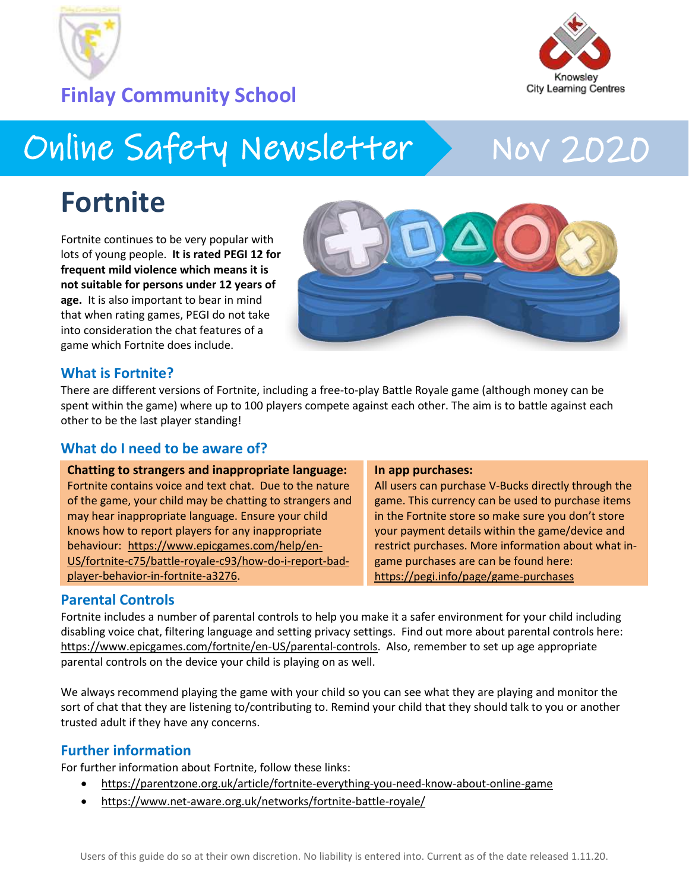

**Finlay Community School**



## Online Safety Newsletter > Nov 2020

### **Fortnite**

Fortnite continues to be very popular with lots of young people. **It is rated PEGI 12 for frequent mild violence which means it is not suitable for persons under 12 years of age.** It is also important to bear in mind that when rating games, PEGI do not take into consideration the chat features of a game which Fortnite does include.



#### **What is Fortnite?**

There are different versions of Fortnite, including a free-to-play Battle Royale game (although money can be spent within the game) where up to 100 players compete against each other. The aim is to battle against each other to be the last player standing!

#### **What do I need to be aware of?**

| <b>Chatting to strangers and inappropriate language:</b> | In app purchases:                                   |
|----------------------------------------------------------|-----------------------------------------------------|
| Fortnite contains voice and text chat. Due to the nature | All users can purchase V-Bucks directly through the |
| of the game, your child may be chatting to strangers and | game. This currency can be used to purchase items   |
| may hear inappropriate language. Ensure your child       | in the Fortnite store so make sure you don't store  |
| knows how to report players for any inappropriate        | your payment details within the game/device and     |
| behaviour: https://www.epicgames.com/help/en-            | restrict purchases. More information about what in- |
| US/fortnite-c75/battle-royale-c93/how-do-i-report-bad-   | game purchases are can be found here:               |
| player-behavior-in-fortnite-a3276.                       | https://pegi.info/page/game-purchases               |

#### **Parental Controls**

Fortnite includes a number of parental controls to help you make it a safer environment for your child including disabling voice chat, filtering language and setting privacy settings. Find out more about parental controls here: [https://www.epicgames.com/fortnite/en-US/parental-controls.](https://www.epicgames.com/fortnite/en-US/parental-controls) Also, remember to set up age appropriate parental controls on the device your child is playing on as well.

We always recommend playing the game with your child so you can see what they are playing and monitor the sort of chat that they are listening to/contributing to. Remind your child that they should talk to you or another trusted adult if they have any concerns.

#### **Further information**

For further information about Fortnite, follow these links:

- <https://parentzone.org.uk/article/fortnite-everything-you-need-know-about-online-game>
- <https://www.net-aware.org.uk/networks/fortnite-battle-royale/>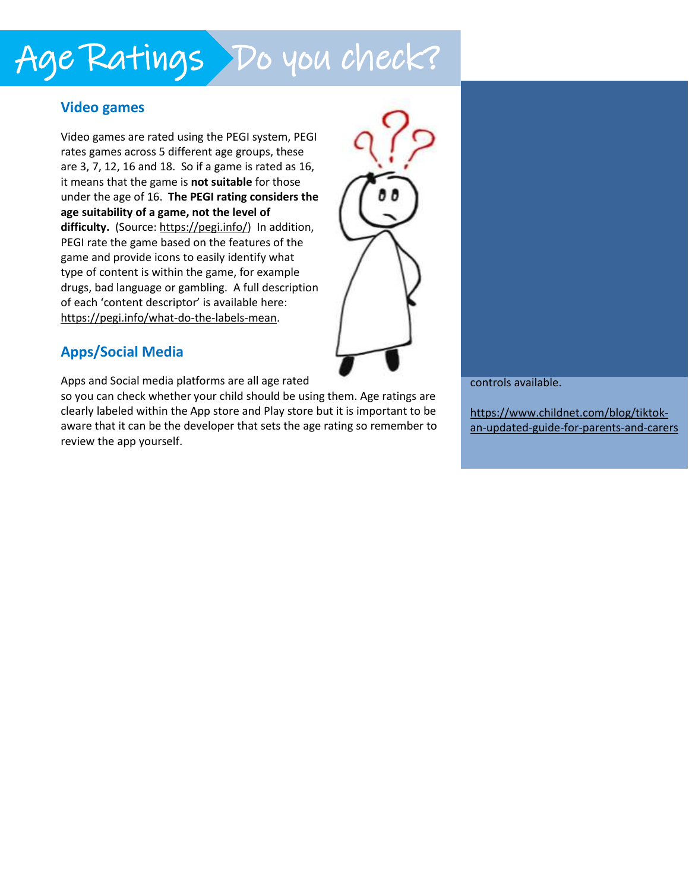# Age Ratings Do you check?

#### **Video games**

Video games are rated using the PEGI system, PEGI rates games across 5 different age groups, these are 3, 7, 12, 16 and 18. So if a game is rated as 16, it means that the game is **not suitable** for those under the age of 16. **The PEGI rating considers the age suitability of a game, not the level of difficulty.** (Source: [https://pegi.info/\)](https://pegi.info/) In addition, PEGI rate the game based on the features of the game and provide icons to easily identify what type of content is within the game, for example drugs, bad language or gambling. A full description of each 'content descriptor' is available here: [https://pegi.info/what-do-the-labels-mean.](https://pegi.info/what-do-the-labels-mean)



#### **Apps/Social Media**

Apps and Social media platforms are all age rated

so you can check whether your child should be using them. Age ratings are clearly labeled within the App store and Play store but it is important to be aware that it can be the developer that sets the age rating so remember to review the app yourself.

controls available.

[https://www.childnet.com/blog/tiktok](https://www.childnet.com/blog/tiktok-an-updated-guide-for-parents-and-carers)[an-updated-guide-for-parents-and-carers](https://www.childnet.com/blog/tiktok-an-updated-guide-for-parents-and-carers)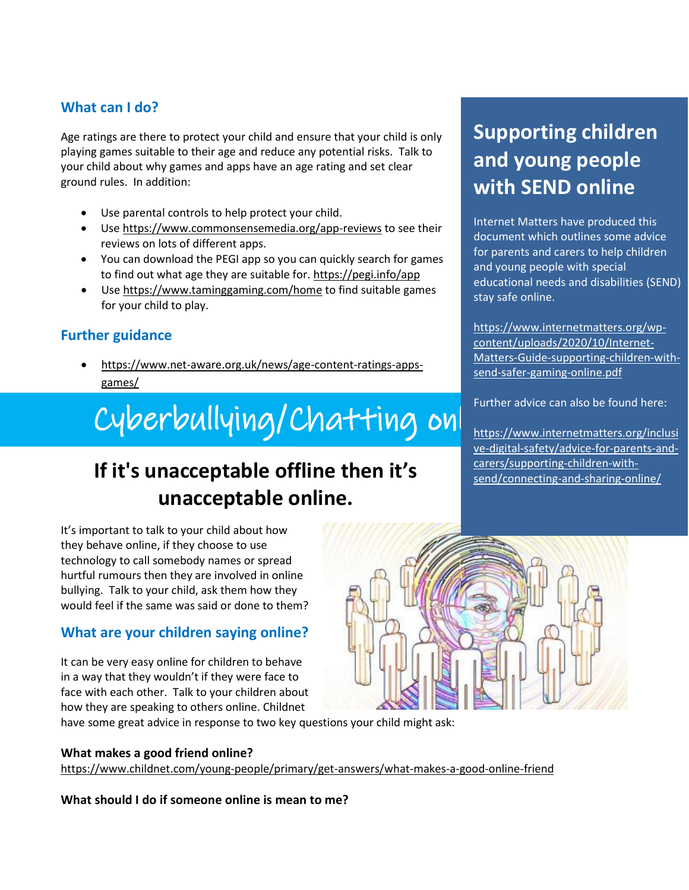#### **What can I do?**

Age ratings are there to protect your child and ensure that your child is only playing games suitable to their age and reduce any potential risks. Talk to your child about why games and apps have an age rating and set clear ground rules. In addition:

- Use parental controls to help protect your child.
- Use<https://www.commonsensemedia.org/app-reviews> to see their reviews on lots of different apps.
- You can download the PEGI app so you can quickly search for games to find out what age they are suitable for.<https://pegi.info/app>
- Use<https://www.taminggaming.com/home> to find suitable games for your child to play.

#### **Further guidance**

 [https://www.net-aware.org.uk/news/age-content-ratings-apps](https://www.net-aware.org.uk/news/age-content-ratings-apps-games/)[games/](https://www.net-aware.org.uk/news/age-content-ratings-apps-games/)

#### [https://www.thinkuknow.co.uk/parents/articles/gaming-whats](https://www.thinkuknow.co.uk/parents/articles/gaming-whats-appropriate-for-your-child/)appropriate-for-your-child/ [Cyberbullyi](https://www.thinkuknow.co.uk/parents/articles/gaming-whats-appropriate-for-your-child/)ng/Chatting onl<sup>turing</sup>

### **If it's unacceptable offline then it's unacceptable online.**

It's important to talk to your child about how they behave online, if they choose to use technology to call somebody names or spread hurtful rumours then they are involved in online bullying. Talk to your child, ask them how they would feel if the same was said or done to them?

#### **What are your children saying online?**

It can be very easy online for children to behave in a way that they wouldn't if they were face to face with each other. Talk to your children about how they are speaking to others online. Childnet

have some great advice in response to two key questions your child might ask:

#### **What makes a good friend online?**

<https://www.childnet.com/young-people/primary/get-answers/what-makes-a-good-online-friend>

**What should I do if someone online is mean to me?**

### **Supporting children and young people with SEND online**

Internet Matters have produced this document which outlines some advice for parents and carers to help children and young people with special educational needs and disabilities (SEND) stay safe online.

[https://www.internetmatters.org/wp](https://www.internetmatters.org/wp-content/uploads/2020/10/Internet-Matters-Guide-supporting-children-with-send-safer-gaming-online.pdf)[content/uploads/2020/10/Internet-](https://www.internetmatters.org/wp-content/uploads/2020/10/Internet-Matters-Guide-supporting-children-with-send-safer-gaming-online.pdf)[Matters-Guide-supporting-children-with](https://www.internetmatters.org/wp-content/uploads/2020/10/Internet-Matters-Guide-supporting-children-with-send-safer-gaming-online.pdf)[send-safer-gaming-online.pdf](https://www.internetmatters.org/wp-content/uploads/2020/10/Internet-Matters-Guide-supporting-children-with-send-safer-gaming-online.pdf)

Further advice can also be found here:

[https://www.internetmatters.org/inclusi](https://www.internetmatters.org/inclusive-digital-safety/advice-for-parents-and-carers/supporting-children-with-send/connecting-and-sharing-online/) [ve-digital-safety/advice-for-parents-and](https://www.internetmatters.org/inclusive-digital-safety/advice-for-parents-and-carers/supporting-children-with-send/connecting-and-sharing-online/)[carers/supporting-children-with](https://www.internetmatters.org/inclusive-digital-safety/advice-for-parents-and-carers/supporting-children-with-send/connecting-and-sharing-online/)[send/connecting-and-sharing-online/](https://www.internetmatters.org/inclusive-digital-safety/advice-for-parents-and-carers/supporting-children-with-send/connecting-and-sharing-online/)